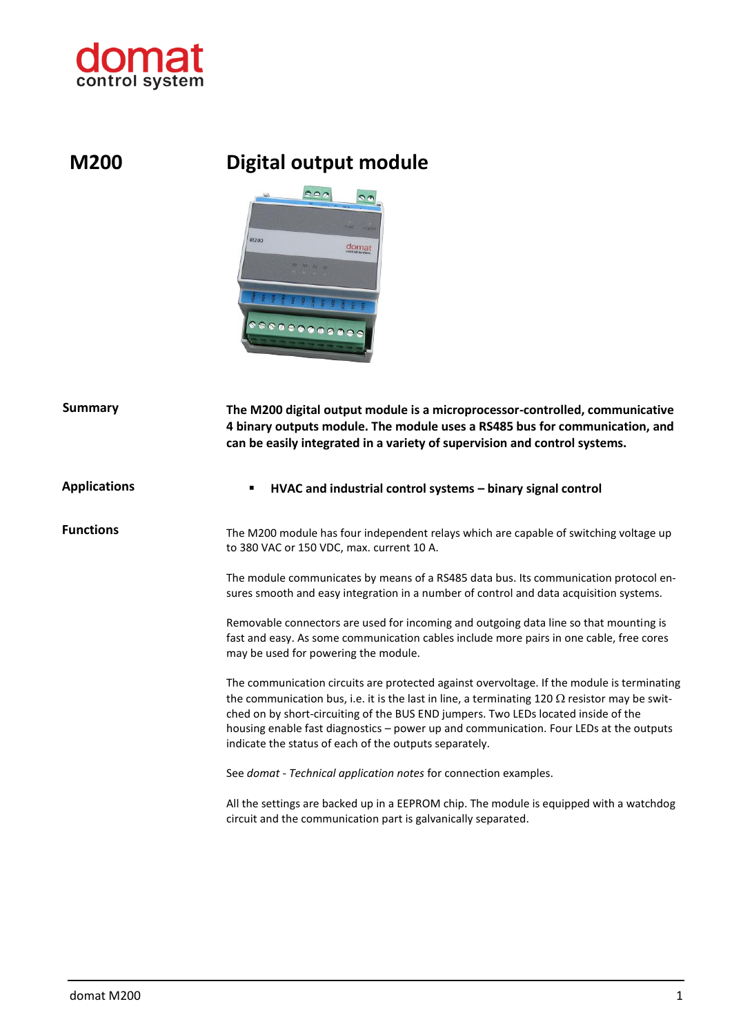

## **M200 Digital output module**



| Summary             | The M200 digital output module is a microprocessor-controlled, communicative<br>4 binary outputs module. The module uses a RS485 bus for communication, and<br>can be easily integrated in a variety of supervision and control systems.<br>HVAC and industrial control systems - binary signal control<br>٠                                                                                                                                 |  |
|---------------------|----------------------------------------------------------------------------------------------------------------------------------------------------------------------------------------------------------------------------------------------------------------------------------------------------------------------------------------------------------------------------------------------------------------------------------------------|--|
| <b>Applications</b> |                                                                                                                                                                                                                                                                                                                                                                                                                                              |  |
| <b>Functions</b>    | The M200 module has four independent relays which are capable of switching voltage up<br>to 380 VAC or 150 VDC, max. current 10 A.                                                                                                                                                                                                                                                                                                           |  |
|                     | The module communicates by means of a RS485 data bus. Its communication protocol en-<br>sures smooth and easy integration in a number of control and data acquisition systems.                                                                                                                                                                                                                                                               |  |
|                     | Removable connectors are used for incoming and outgoing data line so that mounting is<br>fast and easy. As some communication cables include more pairs in one cable, free cores<br>may be used for powering the module.                                                                                                                                                                                                                     |  |
|                     | The communication circuits are protected against overvoltage. If the module is terminating<br>the communication bus, i.e. it is the last in line, a terminating 120 $\Omega$ resistor may be swit-<br>ched on by short-circuiting of the BUS END jumpers. Two LEDs located inside of the<br>housing enable fast diagnostics - power up and communication. Four LEDs at the outputs<br>indicate the status of each of the outputs separately. |  |
|                     | See domat - Technical application notes for connection examples.                                                                                                                                                                                                                                                                                                                                                                             |  |
|                     | All the settings are backed up in a EEPROM chip. The module is equipped with a watchdog<br>circuit and the communication part is galvanically separated.                                                                                                                                                                                                                                                                                     |  |
|                     |                                                                                                                                                                                                                                                                                                                                                                                                                                              |  |